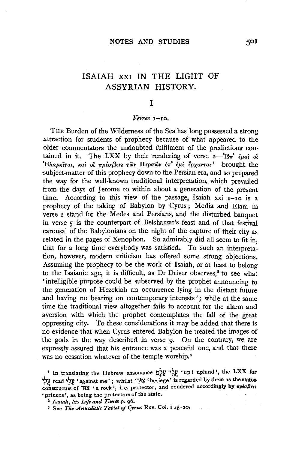# ISAIAH XXI IN THE LIGHT OF ASSYRIAN HISTORY.

### I

#### *Verses* I-Io.

THE Burden of the Wilderness of the Sea has long possessed a strong .attraction for students of prophecy because of what appeared to the older commentators the undoubted fulfilment of the predictions contained in it. The LXX by their rendering of verse  $2-\mathbb{E}\pi$  euch of *'EAaJLEtTat,* Ka~ *ot 7rpiu{3Ets Twv IIEpuwv* E71"• *lJL'£ tpxovmt* <sup>1</sup> -brought the subject-matter of this prophecy down to the Persian era, and so prepared the way for the well-known traditional interpretation, which prevailed from the days of Jerome to within about a generation of the present time. According to this view of the passage, Isaiah xxi  $I$ -Io is a prophecy of the taking of Babylon by Cyrus; Media and Elam in verse 2 stand for the Medes and Persians, and the disturbed banquet in verse 5 is the counterpart of Belshazzar's feast and of that festival carousal of the Babylonians on the night of the capture of their city as related in the pages of Xenophon. So admirably did all seem to fit in, that for a long time everybody was satisfied. To such an interpretation, however, modern criticism has offered some strong objections. Assuming the prophecy to be the work of Isaiah, or at least to belong to the Isaianic age, it is difficult, as Dr Driver observes,<sup>2</sup> to see what ' intelligible purpose could be subserved by the prophet announcing to the generation of Hezekiah an occurrence lying in the distant future and having no bearing on contemporary interests'; while at the same time the traditional view altogether fails to account for the alarm and aversion with which the prophet contemplates the fall of the great oppressing city. To these considerations it may be added that there is no evidence that when Cyrus entered Babylon he treated the images of the gods in the way described in verse 9. On the contrary, we are expressly assured that his entrance was a peaceful one, and that there was no cessation whatever of the temple worship.<sup>3</sup>

<sup>&</sup>lt;sup>1</sup> In translating the Hebrew assonance  $v^{\vee}$ , 'up! upland', the LXX for *'>V.* read ~~~ 'against me' ; whilst lj~lt 'besiege' is regarded by ~em as the status constructus of 'H\lt ' a rock', i. e. protector, and rendered accordingly by  $\pi \rho \epsilon \sigma \beta \epsilon$ 'princes', as being the protectors of the state.

<sup>2</sup>*Isaiah, his Life and Times* p. *g6.* 

<sup>&#</sup>x27; See *The Annalistic Tablet* of *Cyrus* Rev. Col. i I 5-20.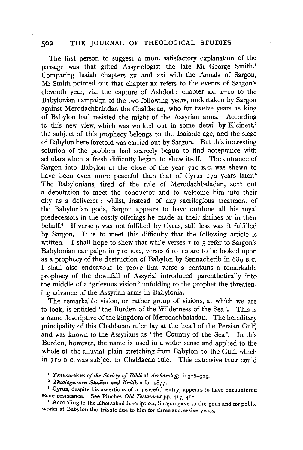The first person to suggest a more satisfactory explanation of the passage was that gifted Assyriologist the late Mr George Smith.<sup>1</sup> Comparing Isaiah chapters xx and xxi with the Annals of Sargon, Mr Smith pointed out that chapter xx refers to the events of Sargon's eleventh year, viz. the capture of Ashdod; chapter xxi r-ro to the Babylonian campaign of the two following years, undertaken by Sargon against Merodachbaladan the Chaldaean, who for twelve years as king of Babylon had resisted the might of the Assyrian arms. According to this new view, which was worked out in some detail by Kleinert,<sup>2</sup> the subject of this prophecy belongs to the Isaianic age, and the siege of Babylon here foretold was carried out by Sargon. But this interesting solution of the problem had scarcely begun to find acceptance with scholars when a fresh difficulty began to shew itself. The entrance of Sargon into Babylon at the close of the year 710 B.c. was shewn to have been even more peaceful than that of Cyrus 170 years later.<sup>3</sup> The Babylonians, tired of the rule of Merodachbaladan, sent out a deputation to meet the conqueror and to welcome him into their city as a deliverer; whilst, instead of any sacrilegious treatment of the Babylonian gods, Sargon appears to have outdone all his royal predecessors in the costly offerings he made at their shrines or in their behalf.<sup>4</sup> If verse 9 was not fulfilled by Cyrus, still less was it fulfilled by Sargon. It is to meet this difficulty that the following article is written. I shall hope to shew that while verses  $\bar{x}$  to  $\bar{y}$  refer to Sargon's Babylonian campaign in 710 B.C., verses 6 to 10 are to be looked upon as a prophecy of the destruction of Babylon by Sennacherib in  $68<sub>9</sub>$  B.C. I shall also endeavour to prove that verse 2 contains a remarkable prophecy of the downfall of Assyria, introduced parenthetically into the middle of a 'grievous vision ' unfolding to the prophet the threatening advance of the Assyrian arms in Babylonia.

The remarkable vision, or rather group of visions, at which we are to look, is entitled 'the Burden of the Wilderness of the Sea'. This is a name descriptive of the kingdom of Merodachbaladan. The hereditary principality of this Chaldaean ruler lay at the head of the Persian Gulf, and was known to the Assyrians as ' the Country of the Sea'. In this Burden, however, the name is used in a wider sense and applied to the whole of the alluvial plain stretching from Babylon to the Gulf, which in 7ro B. c. was subject to Chaldaean rule. This extensive tract could

<sup>1</sup>*Transactions of the Sodety of Biblical Archaeology* ii 328-329. 2 *Theologischen Studien und Kritiken* for 1877.

• Cyrus, despite his assertions of a peaceful entry, appears to have encountered some resistance. See Pinches *Old Testament* pp. 417, 418.

' According to the Khorsabad Inscription, Sargon gave to the gods and for public works at Babylon the tribute due to him for three successive years ..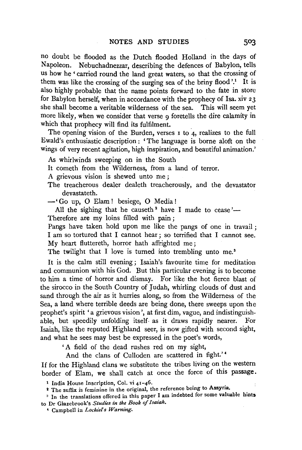no doubt be flooded as the Dutch flooded Holland in the days of Napoleon. Nebuchadnezzar, describing the defences of Babylon, tells us how he ' carried round the land great waters, so that the crossing of them was like the crossing of the surging sea of the briny flood'.<sup>1</sup> It is also highly probable that the name points forward to the fate in store for Babylon herself, when in accordance with the prophecy of Isa. xiv *z* 3 she shall become a veritable wilderness of the sea. This will seem yet more likely, when we consider that verse 9 foretells the dire calamity in which that prophecy will find its fulfilment.

The opening vision of the Burden, verses  $\bar{1}$  to  $\bar{4}$ , realizes to the full Ewald's enthusiastic description : 'The language is borne aloft on the wings of very recent agitation, high inspiration, and beautiful animation.'

As whirlwinds sweeping on in the South

It cometh from the Wilderness, from a land of terror.

A grievous vision is shewed unto me ;

The treacherous dealer dealeth treacherously, and the devastator devastateth.

-'Go up, 0 Elam! besiege, 0 Media!

All the sighing that he causeth<sup>2</sup> have I made to cease'— Therefore are my loins filled with pain ;

Pangs have taken hold upon me like the pangs of one in travail; I am so tortured that I cannot hear ; so terrified that I cannot see. My heart fluttereth, horror hath affrighted me;

The twilight that I love is turned into trembling unto me.<sup>3</sup>

It is the calm still evening; Isaiah's favourite time for meditation and communion with his God. But this particular evening is to become to him a time of horror and dismay. For like the hot fierce blast of the sirocco in the South Country of Judah, whirling clouds of dust and sand through the air as it hurries along, so from the Wilderness of the Sea, a land where terrible deeds are being done, there sweeps upon the prophet's spirit 'a grievous vision', at first dim, vague, and indistinguishable, but speedily unfolding itself. as it draws rapidly nearer. For Isaiah, like the reputed Highland seer, is now gifted with second sight, and what he sees may best be expressed in the poet's words,

'A field of the dead rushes red on my sight,

And the clans of Culloden are scattered in fight.' *<sup>4</sup>*

If for the Highland clans we substitute the tribes living on the western border of Elam, we shall catch at once the force of this passage.

<sup>&</sup>lt;sup>1</sup> India House Inscription, Col. vi  $41-46$ .

<sup>&</sup>lt;sup>2</sup> The suffix is feminine in the original, the reference being to Assyria.

<sup>&</sup>lt;sup>3</sup> In the translations offered in this paper I am indebted for some valuable hints to Dr Glaze brook's *Studies in the Book of Isaiah.* 

<sup>•</sup> Campbell in *Lochiefs Warning.*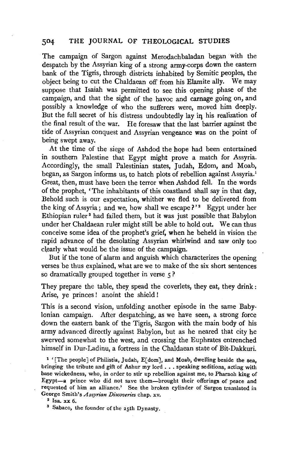The campaign of Sargon against Merodachbaladan began with the despatch by the Assyrian king of a strong army-corps down the eastern bank of the Tigris, through districts inhabited by Semitic peoples, the object being to cut the Chaldaean off from his Elamite ally. We may suppose that Isaiah was permitted to see this opening phase of the campaign, and that the sight of the havoc and carnage going on, and possibly a knowledge of who the sufferers were, moved him deeply. But the full secret of his distress undoubtedly lay in his realization of the final result of the war. He foresaw that the last barrier against the tide of Assyrian conquest and Assyrian vengeance was on the point of being swept away.

At the time of the siege of Ashdod the hope had been entertained in southern Palestine that Egypt might prove a match for Assyria. Accordingly, the small Palestinian states, Judah, Edom, and Moab, began, as Sargon informs us, to hatch plots of rebellion against Assyria.<sup>1</sup> Great, then, must have been the terror when Ashdod fell. In the words of the prophet, 'The inhabitants of this coastland shall say in that day, Behold such is our expectation, whither we fled to be delivered from the king of Assyria; and we, how shall we escape?'<sup>2</sup> Egypt under her Ethiopian ruler 8 had failed them, but it was just possible that Babylon under her Chaldaean ruler might still be able to hold out. We can thus conceive some idea of the prophet's grief, when he beheld in vision the rapid advance of the desolating Assyrian whirlwind and saw only too clearly what would be the issue of the campaign.

But if the tone of alarm and anguish which characterizes the opening verses be thus explained, what are we to make of the six short sentences so dramatically grouped together in verse  $5$  ?

They prepare the table, they spead the coverlets, they eat, they drink: Arise, ye princes ! anoint the shield !

This is a second vision, unfolding another episode in the same Babylonian campaign. After despatching, as we have seen, a strong force down the eastern bank of the Tigris, Sargon with the main body of his army advanced directly against Babylon, but as he neared that city he swerved somewhat to the west, and crossing the Euphrates entrenched himself in Dur-Ladinu, a fortress in the Chaldaean state of Bit-Dakkuri.

<sup>1</sup> ' [The people] of Philistia, Judah, E[dom], and Moab, dwelling beside the sea, bringing the tribute and gift of Ashur my lord . . . speaking seditions, acting with base wickedness, who, in order to stir up rebellion against me, to Pharaoh king of Egypt-a prince who did not save them-brought their offerings of peace and requested of him an alliance.' See the broken cylinder of Sargon translated in George Smith's *Assyrian Discoveries* chap. xv.<br><sup>2</sup> Isa. xx 6.<br><sup>3</sup> Sabaco, the founder of the 25th Dynasty.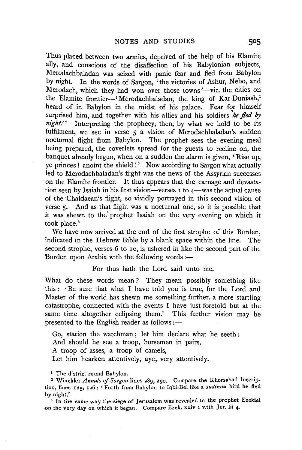Thus placed between two armies, deprived of the help of his Elamite ally, and conscious of the disaffection of his Babylonian subjects, Merodachbaladan was seized with panic fear and fled from Babylon by night. In the words of Sargon, 'the victories of Ashur, Nebo, and Merodach, which they had won over those towns'-viz. the cities on the Elamite frontier-' Merodachbaladan, the king of Kar-Duniash,<sup>1</sup> heard of in Babylon in the midst of his palace. Fear for himself surprised him, and together with his allies and his soldiers he fled by  $night.'$ <sup>2</sup> Interpreting the prophecy, then, by what we hold to be its fulfilment, we see in verse 5 a vision of Merodachbaladan's sudden nocturnal flight from Babylon. The prophet sees the evening meal being prepared, the coverlets spread for the guests to recline on, the banquet already begun, when on a sudden the alarm is given, 'Rise up, ye princes! anoint the shield!' Now according to Sargon what actually led to Merodachbaladan's flight was the news of the Assyrian successes on the Elamite frontier. It thus appears that the carnage and devastation seen by Isaiah in his first vision-verses  $\bar{I}$  to  $\alpha$ -was the actual cause of the ·chaldaean's flight, so vividly portrayed in this second vision of verse 5. And as that flight was a nocturnal one, so it is possible that it was shewn to the' prophet Isaiah on the very evening on which it took place.<sup>3</sup>

We have now arrived at the end of the first strophe of this Burden, indicated in the Hebrew Bible by a blank space within the line. The second strophe, verses 6 to ro, is ushered in like the second part of the Burden upon Arabia with the following words : $-$ 

For thus bath the Lord said unto me.

What do these words mean? They mean possibly something like this : ' Be sure that what I have told you is true, for the Lord and Master of the world has shewn me something further, a more startling catastrophe, connected with the events I have just foretold but at the same time altogether eclipsing them.' This further vision may be presented to the English reader as follows :-

Go, station the watchman; let him declare what he seeth : And should he see a troop, horsemen in pairs, A troop of asses, a troop of camels, Let him hearken attentively, aye, very attentively.

1 The district round Babylon.<br><sup>2</sup> Winckler *Annals of Sargon* lines 289, 290. Compare the Khorsabad Inscription, lines 125, 126: 'Forth from Babylon to Iqbi-Bel like a *sudinnu* bird he fled by night.'

<sup>3</sup> In the same way the siege of Jerusalem was revealed to the prophet Ezekiel on the very day on which it began. Compare Ezek. xxiv 1 with Jer. lii 4.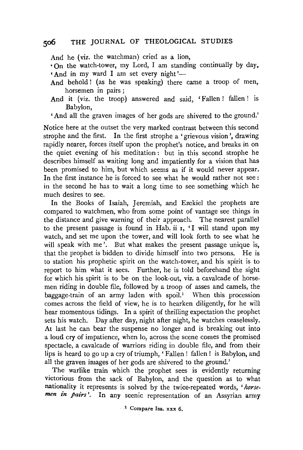And he (viz. the watchman) cried as a lion,

• On the watch-tower, my Lord, I am standing continually by day.  $And$  in my ward I am set every night'--

- And behold! (as he was speaking) there came a troop of men, horsemen in pairs ;
- And it (viz. the troop) answered and said, 'Fallen! fallen! is Babylon,

'And all the graven images of her gods are shivered to the ground.'

Notice here at the outset the very marked contrast between this second strophe and the first. In the first strophe a 'grievous vision', drawing rapidly nearer, forces itself upon the prophet's notice, and breaks in on the quiet evening of his meditation : but in this second strophe he describes himself as waiting long and impatiently for a vision that has been promised to him, but which seems as if it would never appear. In the first instance he is forced to see what he would rather not see : in the second he has to wait a long time to see something which he much desires to see.

In the Books of Isaiah, Jeremiah, and Ezekiel the prophets are compared to watchmen, who from some point of vantage see things in the distance and give warning of their approach. The nearest parallel to the present passage is found in Hab. ii 1, 'I will stand upon my watch, and set me upon the tower, and will look forth to see what he will speak with me'. But what makes the present passage unique is, that the prophet is bidden to divide himself into two persons. He is to station his prophetic spirit on the watch-tower, and his spirit is to report to him what it sees. Further, he is told beforehand the sight for which his spirit is to be on the look-out, viz. a cavalcade of horsemen riding in double file, followed by a troop of asses and camels, the baggage-train of an army laden with  $spoi!$ <sup>1</sup> When this procession comes across the field of view, he is to hearken diligently, for he will hear momentous tidings. In a spirit of thrilling expectation the prophet sets his watch. Day after day, night after night, he watches ceaselessly. At last he can bear the suspense no longer and is breaking out into a loud cry of impatience, when lo, across the scene comes the promised spectacle, a cavalcade of warriors riding in double file, and from their lips is heard to go up a cry of triumph, 'Fallen ! fallen ! is Babylon, and all the graven images of her gods are shivered to the ground.'

The warlike train which the prophet sees is evidently returning victorious from the sack of Babylon, and the question as to what nationality it represents is solved by the twice-repeated words, *'horsemen in pairs'.* In any scenic representation of an Assyrian army

<sup>&</sup>lt;sup>1</sup> Compare Isa. xxx 6.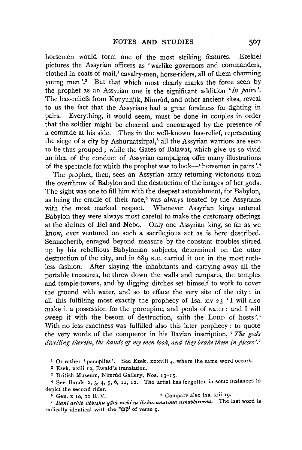horsemen would form one of the most striking features. Ezekiel pictures the Assyrian officers as 'warlike governors and commanders, clothed in coats of mail,<sup>1</sup> cavalry-men, horse-riders, all of them charming young men'.<sup>2</sup> But that which most clearly marks the force seen by the prophet as an Assyrian one is the significant addition *'in pazrs* '. The bas-reliefs from Kouyunjik, Nimrûd, and other ancient sites, reveal to us the fact that the Assyrians had a great fondness for fighting in pairs. Everything, it would seem, must be done in couples in order that the soldier might be cheered and encouraged by the presence of a comrade at his side. Thus in the well-known has-relief, representing the siege of a city by Ashurnatsirpal,<sup>3</sup> all the Assyrian warriors are seen to be thus grouped; while the Gates of Balawat, which give us so vivid an idea of the conduct of Assyrian campaigns, offer many illustrations of the spectacle for which the prophet was to look-' horsemen in pairs'.<sup>4</sup>

The prophet, then, sees an Assyrian army returning victorious from the overthrow of Babylon and the destruction of the images of her gods. The sight was one to fill him with the deepest astonishment, for Babylon, as being the cradle of their race,<sup>5</sup> was always treated by the Assyrians with the most marked respect. Whenever Assyrian kings entered Babylon they were always most careful to make the customary offerings at the shrines of Bel and Nebo. Only one Assyrian king, so far as we know, ever ventured on such a sacrilegious act as is here described. Sennacherib, enraged beyond measure by the constant troubles stirred up by his rebellious Babylonian subjects, determined on the utter destruction of the city, and in 689 B.C. carried it out in the most ruthless fashion. After slaying the inhabitants and carrying away all the portable treasures, he threw down the walls and ramparts, the temples and temple-towers, and by digging ditches set himself to wotk to cover the ground with water, and so to efface the very site of the city : in all this fulfilling most exactly the prophecy of Isa. xiv 23 'I will also make it a possession for the porcupine, and pools of water : and I will sweep it with the besom of destruction, saith the LoRD of hosts '.6 With no less exactness was fulfilled also this later prophecy : to quote the very words of the conqueror in his Bavian inscription, ' *The gods dwelling therein, the hands* of *my men took, and they brake them in pieces'.* <sup>7</sup>

1 Or rather 'panoplies'. See Ezek. xxxviii 4, where the same word occurs.

2 Ezek. xxiii 12, Ewald's translation. 3 British Museum, Nimrfld Gallery, Nos. 13-15.

<sup>4</sup> See Bands 2, 3, 4, 5, 6, 11, 12. The artist has forgotten in some instances to depict the second rider.

 $\frac{1}{5}$  Gen. x 10, 11 R. V. 6 Compare also Isa. xiii 19.

<sup>7</sup> Ilani ashib libbishu qâtâ mshi-ia ikshusunutima ushabbiruma. The last word is radically identical with the  $\ddot{w}$  of verse 9.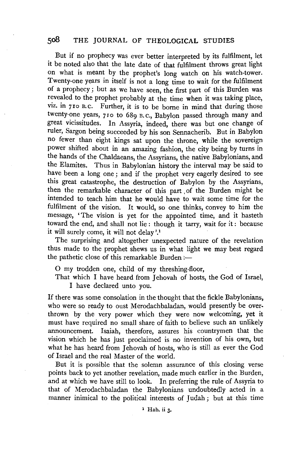But if no prophecy was ever better interpreted by its fulfilment, let it be noted also that the late date of that fulfilment throws great light on what is meant by the prophet's long watch on his watch-tower. Twenty-one years in itself is not a long time to wait for the fulfilment of a prophecy; but as we have seen, the first part of this Burden was revealed to the prophet probably at the time when it was taking place, viz. in 710 B.c. Further, it is to be borne in mind that during those twenty-one years, 710 to 689 B.C., Babylon passed through many and great vicissitudes. In Assyria, indeed, there was but one change of ruler, Sargon being succeeded by his son Sennacherib. But in Babylon no fewer than eight kings sat upon the throne, while the sovereign power shifted about in an amazing fashion, the city being by turns in the hands of the Chaldaeans, the Assyrians, the native Babylonians, and the Elamites. Thus in Babylonian history the interval may be said to have been a long one; and if the prophet very eagerly desired to see this great catastrophe, the destruction of Babylon by the Assyrians, then the remarkable character of this part , of the Burden might be intended to teach him that he would have to wait some time for the fulfilment of the vision. It would, so one thinks, convey to him the message, 'The vision is yet for the appointed time, and it hasteth toward the end, and shall not lie : though it tarry, wait for it : because it will surely come, it will not delay'.<sup>1</sup>

The surprising and altogether unexpected nature of the revelation thus made to the prophet shews us in what light we may best regard the pathetic close of this remarkable Burden :-

0 my trodden one, child of my threshing-floor,

That which I have heard from Jehovah of hosts, the God of Israel, I have declared unto you.

If there was some consolation in the thought that the fickle Babylonians, who were so ready to oust Merodachbaladan, would presently be over. thrown by the very power which they were now welcoming, yet it must have required no small share of faith to believe such an unlikely announcement. Isaiah, therefore, assures his countrymen that the vision which he has just proclaimed is no invention of his own, but what he has heard from Jehovah of hosts, who is still as ever the God of Israel and the real Master of the world.

But it is possible that the solemn assurance of this closing verse points back to yet another revelation, made much earlier in the Burden, and at which we have still to look. In preferring the rule of Assyria to that of Merodachbaladan the Babylonians undoubtedly acted in a manner inimical to the political interests of Judah; but at this time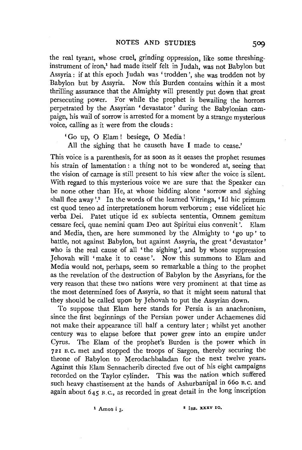the real tyrant, whose cruel, grinding oppression, like some threshinginstrument of iron,<sup>1</sup> had made itself felt in Judah, was not Babylon but Assyria : if at this epoch Judah was 'trodden', she was trodden not by Babylon but by Assyria. Now this Burden contains within it a most thrilling assurance that the Almighty will presently put down that great persecuting power. For while the prophet is bewailing the horrors perpetrated by the Assyrian 'devastator' during the Babylonian campaign, his wail of sorrow is arrested for a moment by a strange mysterious voice, calling as it were from the clouds :

- 'Go up, 0 Elam ! besiege, 0 Media !
- All the sighing that he causeth have I made to cease.'

This voice is a parenthesis, for as soon as it aeases the prophet resumes his strain of lamentation : a thing not to be wondered at, seeing that the vision of carnage is still present to his view after the voice is silent. With regard to this mysterious voice we are sure that the Speaker can be none other than He, at whose bidding alone 'sorrow and sighing shall flee away'.<sup>2</sup> In the words of the learned Vitringa, 'Id hic primum est quod teneo ad interpretationem horum verborum ; esse videlicet hie verba Dei. Patet utique id ex subiecta sententia, Omnem gemitum cessare feci, quae nemini quam Deo aut Spiritui eius convenit '. Elam and Media, then, are here summoned by the Almighty to 'go up ' to battle, not against Babylon, but against Assyria, the great 'devastator ' who is the real cause of all 'the sighing', and by whose suppression Jehovah will 'make it to cease'. Now this summons to Elam and Media would not, perhaps, seem so remarkable a thing to the prophet as the revelation of the destruction of Babylon by the Assyrians, for the very reason that these two nations were very prominent at that time as the most determined foes of Assyria, so that it might seem natural that they should be called upon by Jehovah to put the Assyrian down.

To suppose that Elam here stands for Persia is an anachronism, since the first beginnings of the Persian power under Achaemenes did not make their appearance till half a century later ; whilst yet another century was to elapse before that power grew into an empire under Cyrus. The Elam of the prophet's Burden is the power which in 72r B.c. met and stopped the troops of Sargon, thereby securing the throne of Babylon to Merodachbaladan for the next twelve years. Against this Elam Sennacherib directed five out of his eight campaigns recorded on the Taylor cylinder. This was the nation which suffered such heavy chastisement at the hands of Ashurbanipal in 660 B.C. and again about 645 B.c., as recorded in great detail in the long inscription

 $1$  Amos i 3.  $2$  Isa. xxxv 10.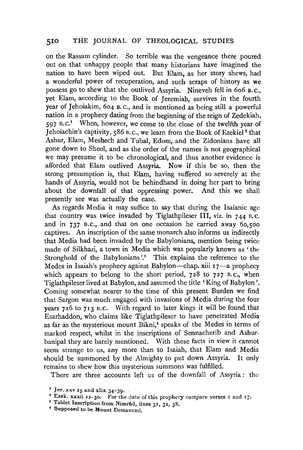on the Rassam cylinder. So terrible was the vengeance there poured out on that unhappy people that many historians have imagined the nation to have been wiped out. But Elam, as her story shews, had a wonderful power of recuperation, and such scraps of history as we possess go to shew that she outlived Assyria. Nineveh fell in 6o6 B. c., yet Elam, according to the Book of Jeremiah, survives in the fourth year of Jehoiakim, 6o4 B. c., and is mentioned as being still a powerful nation in a prophecy dating from the beginning of the reign of Zedekiah, 597 B.C.1 When, however, we come to the close of the twelfth year of Tehoiachin's captivity, 586 B.C., we learn from the Book of Ezekiel<sup>2</sup> that Ashur, Elam, Meshech and Tubal, Edom, and the Zidonians have all gone down to Sheol, and as the order of the names is not geographical we may presume it to be chronological, and thus another evidence is afforded that Elam outlived Assyria. Now if this be so, then the strong presumption is, that Elam, having suffered so severely at the hands of Assyria, would not be behindhand in doing her part to bring about the downfall of that oppressing power. And this we shall presently see was actually the case.

As regards Media it may suffice to say that during the Isaianic age that country was twice invaded by Tiglathpileser Ill, viz. in 744 B.c. and in 737 B.c., and that on one occasion he carried away 6o,soo captives. An inscription of the same monarch also informs us indirectly that Media had been invaded by the Babylonians, mention being twice made of Silkhazi, a town in Media which was popularly known as ' the Stronghold of the Babylonians'.<sup>3</sup> This explains the reference to the Medes in Isaiah's prophecy against Babylon—chap. xiii 17—a prophecy which appears to belong to the short period,  $728$  to  $727$  B.C., when Tiglathpileser lived at Babylon, and assumed the title 'King of Babylon '. Coming somewhat nearer to the time of this present Burden we find that Sargon was much engaged with invasions of Media during the four years 716 to 713 B.C. With regard to later kings it will be found that Esarhaddon, who claims like Tiglathpileser to have penetrated. Media as far as the mysterious mount Bikni,<sup>4</sup> speaks of the Medes in terms of marked respect, whilst in the inscriptions of Sennacherib and Ashurbanipal they are barely mentioned. With these facts in view it cannot seem strange to us, any more than to Isaiah, that Elam and Media should be summoned by the Almighty to put down Assyria. It only remains to shew how this mysterious summons was fulfilled.

There are three accounts left us of the downfall of Assyria : the

<sup>&</sup>lt;sup>1</sup> Jer. xxv 25 and xlix 34-39. 2  $\frac{1}{2}$  Ezek. xxxii 22-30. For the date of this prophecy compare verses I and 17.

<sup>&</sup>lt;sup>3</sup> Tablet Inscription from Nimrud, lines 31, 32, 38.

<sup>•</sup> Supposed to be Mount Demavend.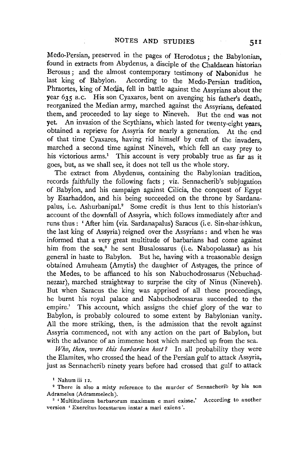Medo-Persian, preserved in the pages of Herodotus; the Babylonian, found in extracts from Abydenus, a disciple of the Chaldaean historian Berosus; and the almost contemporary testimony of Nabonidus he last king of Babylon. According to the Medo-Persian tradition, Phraortes, king of Media, fell in battle against the Assyrians about the year 635 B.C. His son Cyaxares, bent on avenging his father's death, reorganized the Median army, marched against the Assyrians, defeated them, and proceeded to lay siege to Nineveh. But the end was not vet. An invasion of the Scythians, which lasted for twenty-eight years, obtained a reprieve for Assyria for nearly a generation. At the end of that time Cyaxares, having rid himself by craft of the invaders, marched a second time against Nineveh, which fell an easy prey to his victorious arms.<sup>1</sup> This account is very probably true as far as it goes, but, as we shall see, it does not tell us the whole story.

The extract from Abydenus, containing the Babylonian tradition, records faithfully the following facts ; viz. Sennacherib's subjugation of Babylon, and his campaign against Cilicia, the conquest of Egypt by Esarhaddon, and his being succeeded on the throne by Sardanapalus, i.e. Ashurbanipal.<sup>2</sup> Some credit is thus lent to this historian's account of the downfall of Assyria, which follows immediately after and runs thus: 'After him (viz. Sardanapalus) Saracus (i.e. Sin-shar-ishkun, the last king of Assyria) reigned over the Assyrians : and when he was informed that a very great multitude of barbarians had come against him from the sea,<sup>3</sup> he sent Busalossarus (i.e. Nabopolassar) as his general in haste to Babylon. But he, having with a treasonable design obtained Amuheam (Amytis) the daughter of Astyages, the prince of the Medes, to be affianced to his son Nabuchodrossarus (Nebuchadnezzar), marched straightway to surprise the city of Ninus (Nineveh). But when Saracus the king was apprised of all these proceedings, he burnt his royal palace and Nabuchodrossarus succeeded to the empire.' This account, which assigns the chief glory of the war to Babylon, is probably coloured to some extent by Babylonian vanity. All the more striking, then, is the admission that the revolt against Assyria commenced, not with any action on the part of Babylon, but with the advance of an immense host which marched up from the sea.

*Who, then, 'Were this barbarian host?* In all probability they were the Elamites, who crossed the head of the Persian gulf to attack Assyria, just as Sennacherib ninety years before had crossed that gulf to attack

<sup>1</sup> Nahum iii 12.

<sup>2</sup> There is also a misty reference to the murder of Sennacherib by his son Adramelus (Adrammelech). 3 'Multitudinem barbarorum maximam e mari exisse.' According to another

version ' Exercitus locustarum instar a mari exiens'.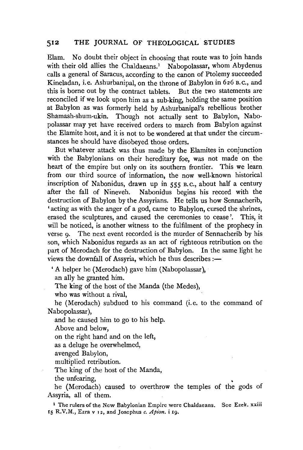Elam. No doubt their object in choosing that route was to join hands with their old allies the Chaldaeans.<sup>1</sup> Nabopolassar, whom Abydenus calls a general of Saracus, according to the canon of Ptolemy succeeded Kineladan, i.e. Ashurbanipal, on the throne of Babylon in 626 B. c., and this is borne out by the contract tablets. But the two statements are reconciled if we look upon him as a sub-king, holding the same position at Babylon as was formerly held by Ashurbanipal's rebellious brother Shamash-shum-ukin. Though not actually sent to Babylon, Nabopolassar may yet have received orders to march from Babylon against the Elamite host, and it is not to be wondered at that under the circumstances he should have disobeyed those orders.

But whatever attack was thus made by the Elamites in conjunction with the Babylonians on their hereditary foe, was not made on the heart of the empire but only on its southern frontier. This we learn from our third source of information, the now well-known historical inscription of Nabonidus, drawn up in 555 B.c., about half a century after the fall of Nineveh. Nabonidus begins his record with the destruction of Babylon by the Assyrians. He tells us how Sennacherib, 'acting as with the anger of a god, came to Babylon, cursed the shrines, erased the sculptures, and caused the ceremonies to cease'. This, it will be noticed, is another witness to the fulfilment of the prophecy in verse 9. The next event recorded is the murder of Sennacherib by his son, which Nabonidus regards as an act of righteous retribution on the part of Merodach for the destruction of Babylon. In the same light he views the downfall of Assyria, which he thus describes :-

'A helper he (Merodach) gave him (Nabopolassar), an ally he granted him.

The king of the host of the Manda (the Medes),

who was without a rival,

he (Merodach) subdued to his command (i.e. to the command of Nabopolassar),

and he caused him to go to his help.

Above and below,

on the right hand and on the left,

as a deluge he overwhelmed,

avenged Babylon,

multiplied retribution.

The king of the host of the Manda,

the unfearing,

he (Merodach) caused to overthrow the temples of the gods of Assyria, all of them.

<sup>1</sup> The rulers of the New Babylonian Empire were Chaldaeans. See Ezek. xxiii 15 R.V.M., Ezra v 12, and Josephus *c. Apion.* i 19.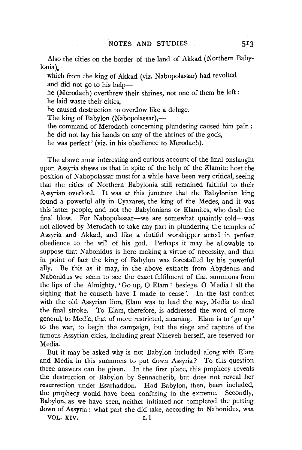Also the cities on the border of the land of Akkad (Northern Babylonia).

. which from the king of Akkad (viz. Nabopolassar) had revolted and did not go to his help-

he (Merodach) overthrew their shrines, not one of them he left : he laid waste their cities,

he caused destruction to overflow like a deluge.

The king of Babylon (Nabopolassar),—

the command of Merodach concerning plundering caused him pain ; he did not lay his hands on any of the shrines of the gods,

he was perfect' (viz. in his obedience to Merodach).

The above most interesting and curious account of the final onslaught upon Assyria shews us that in spite of the help of the Elamite host the position of Nabopolassar must for a while have been very critical, seeing that the cities of Northern Babylonia still remained faithful to their Assyrian overlord. It was at this juncture that the Babylonian king found a powerful ally in Cyaxares, the king of the Medes, and it was this latter people, and not the Babylonians or Elamites, who dealt the final blow. For Nabopolassar—we are somewhat quaintly told—was not allowed by Merodach to take any part in plundering the temples of Assyria and Akkad, and like a dutiful worshipper acted in perfect obedience to the wifi of his god. Perhaps it may be allowable to suppose that Nabonidus is here making a virtue of necessity, and that in point of fact the king of Babylon was forestalled by his powerful ally. Be this as it may, in the above extracts from Abydenus and Nabonidus we seem to see the exact fulfilment of that summons from the lips of the Almighty, 'Go up, 0 Elam ! besiege, 0 Media ! all the sighing that he causeth have I made to cease'. In the last conflict with the old Assyrian lion, Elam was to lead the way, Media to deal the final stroke. To Elam, therefore, is addressed the word of more general, to Media, that of more restricted, meaning. Elam is to 'go up' to the war, to begin the campaign, but the siege and capture of the famous Assyrian cities, including great Nineveh herself, are reserved for Media.

But it may be asked why is not Babylon included along with Elam and Media in this summons to put down Assyria? To this question three answers can be given. In the first place, this prophecy reveals the destruction of Babylon by Sennacherib, but does not reveal her resurrection under Esarhaddon. Had Babylon, then, been included, the prophecy would have been confusing in the extreme. Secondly, Babylon, as we have seen, neither initiated nor completed the putting down of Assyria: what part she did take, according to Nabonidus, was

VOL. XIV. L l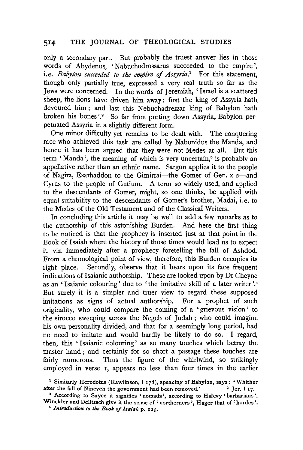only a secondary part. But probably the truest answer lies in those words of Abydenus, 'Nabuchodrossarus succeeded to the empire', i.e. *Babylon succeeded to the empire of Assyria*.<sup>1</sup> For this statement, though only partially true, expressed a very real truth so far as the Jews were concerned. In the words of Jeremiah, ' Israel is a scattered sheep, the lions have driven him away: first the king of Assyria hath devoured him; and last this Nebuchadrezzar king of Babylon hath broken his bones '.<sup>2</sup> So far from putting down Assyria, Babylon perpetuated Assyria in a slightly different form.

One minor difficulty yet remains to be dealt with. The conquering race who achieved this task are called by Nabonidus the Manda, and hence it has been argued that they were not Medes at all. But this term 'Manda', the meaning of which is very uncertain,<sup> $\delta$ </sup> is probably an appellative rather than an ethnic name. Sargon applies it to the people of Nagira, Esarhaddon to the Gimirrai-the Gomer of Gen. x 2-and Cyrus to the people of Gutium. A term so widely used, and applied to the descendants of Gomer, might, so one thinks, be applied with equal suitability to the descendants of Gomer's brother, Madai, i.e. to the Medes of the Old Testament and of the Classical Writers.

In concluding this article it may be well to add a few remarks as to the authorship of this astonishing Burden. And here the first thing to be noticed is that the prophecy is inserted just at that point in the Book of Isaiah where the history of those times would lead us to expect it, viz. immediately after a prophecy foretelling the fall of Ashdod. From a chronological point of view, therefore, this Burden occupies its right place. Secondly, observe that it bears upon its face frequent indications of Isaianic authorship. These are looked upon by Dr Cheyne as an 'Isaianic colouring' due to 'the imitative skill of a later writer'.<sup>4</sup> But surely it is a simpler and truer view to regard these supposed imitations as signs of actual authorship. For a prophet of such originality, who could compare the coming of a 'grievous vision' to the sirocco sweeping across the Negeb of Judah; who could imagine his own personality divided, and that for a seemingly long period, had no need to imitate and would hardly be likely to do so. I regard, then, this ' Isaianic colouring' as so many touches which betray the master hand ; and certainly for so short a passage these touches are fairly numerous. Thus the figure of the whirlwind, so strikingly employed in verse 1, appears no less than four times in the earlier

<sup>&</sup>lt;sup>1</sup> Similarly Herodotus (Rawlinson, i 178), speaking of Babylon, says: 'Whither after the fall of Nineveh the government had been removed.'  $2 \text{ Jer. } 117$ .

<sup>•</sup> According to Sayee it signifies ' nomads ', according to Halevy ' barbarians '. Winckler and Delitzsch give it the sense of ' northerners', Hager that of ' hordes'.<br>*4 Introduction to the Book of Isaiah p. 125.*